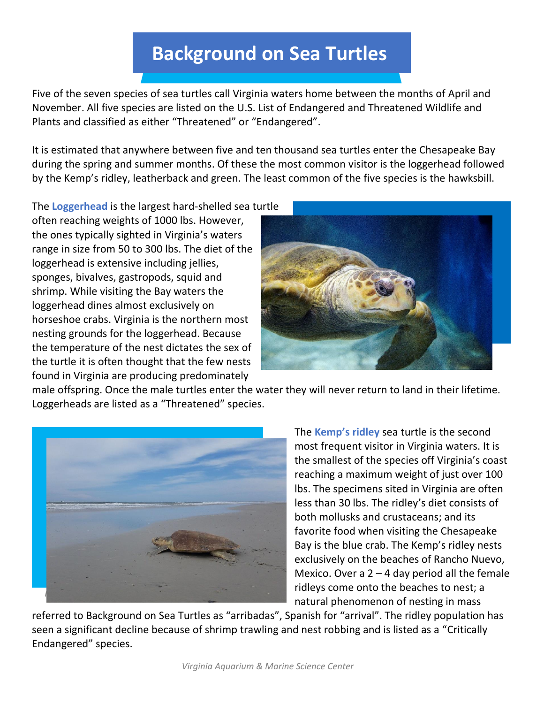## **Background on Sea Turtles**

Five of the seven species of sea turtles call Virginia waters home between the months of April and November. All five species are listed on the U.S. List of Endangered and Threatened Wildlife and Plants and classified as either "Threatened" or "Endangered".

It is estimated that anywhere between five and ten thousand sea turtles enter the Chesapeake Bay during the spring and summer months. Of these the most common visitor is the loggerhead followed by the Kemp's ridley, leatherback and green. The least common of the five species is the hawksbill.

The **Loggerhead** is the largest hard-shelled sea turtle

often reaching weights of 1000 lbs. However, the ones typically sighted in Virginia's waters range in size from 50 to 300 lbs. The diet of the loggerhead is extensive including jellies, sponges, bivalves, gastropods, squid and shrimp. While visiting the Bay waters the loggerhead dines almost exclusively on horseshoe crabs. Virginia is the northern most nesting grounds for the loggerhead. Because the temperature of the nest dictates the sex of the turtle it is often thought that the few nests found in Virginia are producing predominately



male offspring. Once the male turtles enter the water they will never return to land in their lifetime. Loggerheads are listed as a "Threatened" species.



The **Kemp's ridley** sea turtle is the second most frequent visitor in Virginia waters. It is the smallest of the species off Virginia's coast reaching a maximum weight of just over 100 lbs. The specimens sited in Virginia are often less than 30 lbs. The ridley's diet consists of both mollusks and crustaceans; and its favorite food when visiting the Chesapeake Bay is the blue crab. The Kemp's ridley nests exclusively on the beaches of Rancho Nuevo, Mexico. Over a  $2 - 4$  day period all the female ridleys come onto the beaches to nest; a natural phenomenon of nesting in mass

referred to Background on Sea Turtles as "arribadas", Spanish for "arrival". The ridley population has seen a significant decline because of shrimp trawling and nest robbing and is listed as a "Critically Endangered" species.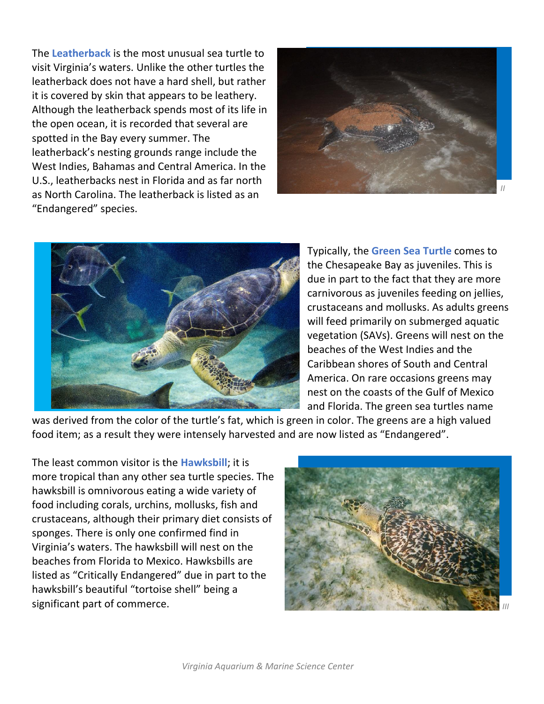The **Leatherback** is the most unusual sea turtle to visit Virginia's waters. Unlike the other turtles the leatherback does not have a hard shell, but rather it is covered by skin that appears to be leathery. Although the leatherback spends most of its life in the open ocean, it is recorded that several are spotted in the Bay every summer. The leatherback's nesting grounds range include the West Indies, Bahamas and Central America. In the U.S., leatherbacks nest in Florida and as far north as North Carolina. The leatherback is listed as an "Endangered" species.





Typically, the **Green Sea Turtle** comes to the Chesapeake Bay as juveniles. This is due in part to the fact that they are more carnivorous as juveniles feeding on jellies, crustaceans and mollusks. As adults greens will feed primarily on submerged aquatic vegetation (SAVs). Greens will nest on the beaches of the West Indies and the Caribbean shores of South and Central America. On rare occasions greens may nest on the coasts of the Gulf of Mexico and Florida. The green sea turtles name

was derived from the color of the turtle's fat, which is green in color. The greens are a high valued food item; as a result they were intensely harvested and are now listed as "Endangered".

The least common visitor is the **Hawksbill**; it is more tropical than any other sea turtle species. The hawksbill is omnivorous eating a wide variety of food including corals, urchins, mollusks, fish and crustaceans, although their primary diet consists of sponges. There is only one confirmed find in Virginia's waters. The hawksbill will nest on the beaches from Florida to Mexico. Hawksbills are listed as "Critically Endangered" due in part to the hawksbill's beautiful "tortoise shell" being a significant part of commerce.